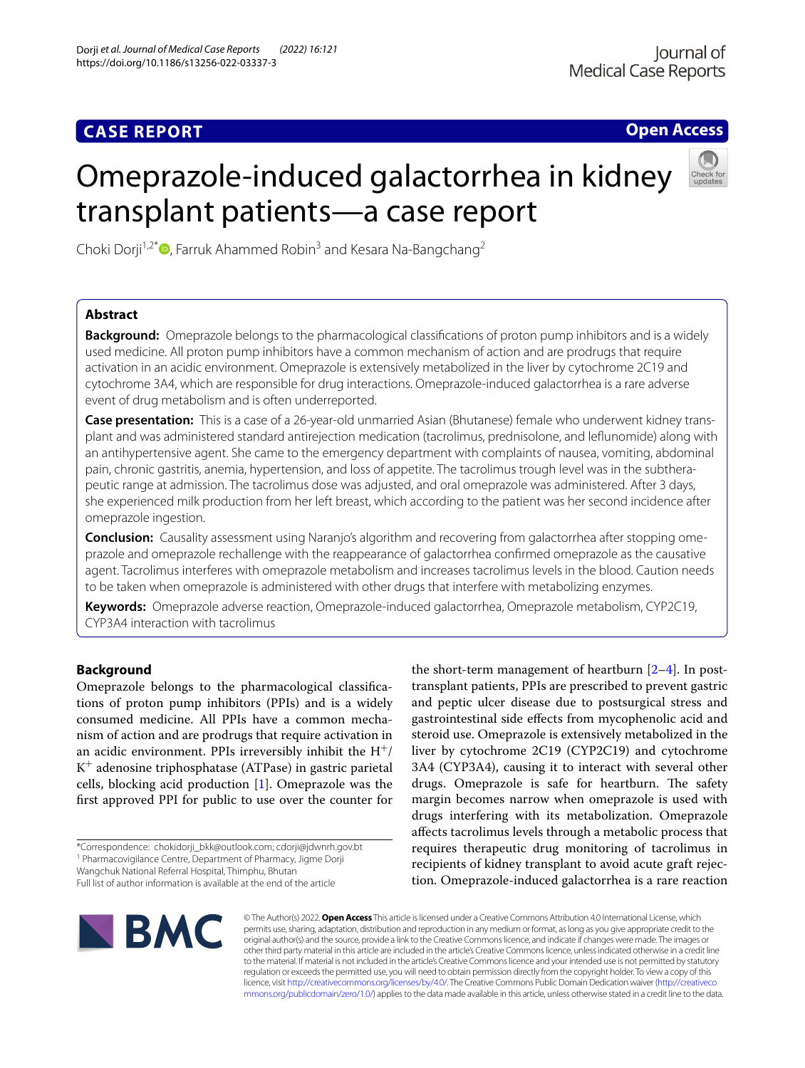# **CASE REPORT**

**Open Access**

# Omeprazole-induced galactorrhea in kidney transplant patients—a case report



Choki Dorji<sup>1,2\*</sup>  $\bullet$ [,](http://orcid.org/0000-0002-6320-660X) Farruk Ahammed Robin<sup>3</sup> and Kesara Na-Bangchang<sup>2</sup>

# **Abstract**

**Background:** Omeprazole belongs to the pharmacological classifcations of proton pump inhibitors and is a widely used medicine. All proton pump inhibitors have a common mechanism of action and are prodrugs that require activation in an acidic environment. Omeprazole is extensively metabolized in the liver by cytochrome 2C19 and cytochrome 3A4, which are responsible for drug interactions. Omeprazole-induced galactorrhea is a rare adverse event of drug metabolism and is often underreported.

**Case presentation:** This is a case of a 26-year-old unmarried Asian (Bhutanese) female who underwent kidney trans‑ plant and was administered standard antirejection medication (tacrolimus, prednisolone, and lefunomide) along with an antihypertensive agent. She came to the emergency department with complaints of nausea, vomiting, abdominal pain, chronic gastritis, anemia, hypertension, and loss of appetite. The tacrolimus trough level was in the subtherapeutic range at admission. The tacrolimus dose was adjusted, and oral omeprazole was administered. After 3 days, she experienced milk production from her left breast, which according to the patient was her second incidence after omeprazole ingestion.

**Conclusion:** Causality assessment using Naranjo's algorithm and recovering from galactorrhea after stopping ome‑ prazole and omeprazole rechallenge with the reappearance of galactorrhea confrmed omeprazole as the causative agent. Tacrolimus interferes with omeprazole metabolism and increases tacrolimus levels in the blood. Caution needs to be taken when omeprazole is administered with other drugs that interfere with metabolizing enzymes.

**Keywords:** Omeprazole adverse reaction, Omeprazole-induced galactorrhea, Omeprazole metabolism, CYP2C19, CYP3A4 interaction with tacrolimus

## **Background**

Omeprazole belongs to the pharmacological classifcations of proton pump inhibitors (PPIs) and is a widely consumed medicine. All PPIs have a common mechanism of action and are prodrugs that require activation in an acidic environment. PPIs irreversibly inhibit the  $H^+$ /  $K^+$  adenosine triphosphatase (ATPase) in gastric parietal cells, blocking acid production [\[1](#page-6-0)]. Omeprazole was the frst approved PPI for public to use over the counter for

\*Correspondence: chokidorji\_bkk@outlook.com; cdorji@jdwnrh.gov.bt <sup>1</sup> Pharmacovigilance Centre, Department of Pharmacy, Jigme Dorji

Wangchuk National Referral Hospital, Thimphu, Bhutan

the short-term management of heartburn [\[2–](#page-6-1)[4\]](#page-6-2). In posttransplant patients, PPIs are prescribed to prevent gastric and peptic ulcer disease due to postsurgical stress and gastrointestinal side efects from mycophenolic acid and steroid use. Omeprazole is extensively metabolized in the liver by cytochrome 2C19 (CYP2C19) and cytochrome 3A4 (CYP3A4), causing it to interact with several other drugs. Omeprazole is safe for heartburn. The safety margin becomes narrow when omeprazole is used with drugs interfering with its metabolization. Omeprazole afects tacrolimus levels through a metabolic process that requires therapeutic drug monitoring of tacrolimus in recipients of kidney transplant to avoid acute graft rejection. Omeprazole-induced galactorrhea is a rare reaction



© The Author(s) 2022. **Open Access** This article is licensed under a Creative Commons Attribution 4.0 International License, which permits use, sharing, adaptation, distribution and reproduction in any medium or format, as long as you give appropriate credit to the original author(s) and the source, provide a link to the Creative Commons licence, and indicate if changes were made. The images or other third party material in this article are included in the article's Creative Commons licence, unless indicated otherwise in a credit line to the material. If material is not included in the article's Creative Commons licence and your intended use is not permitted by statutory regulation or exceeds the permitted use, you will need to obtain permission directly from the copyright holder. To view a copy of this licence, visit [http://creativecommons.org/licenses/by/4.0/.](http://creativecommons.org/licenses/by/4.0/) The Creative Commons Public Domain Dedication waiver ([http://creativeco](http://creativecommons.org/publicdomain/zero/1.0/) [mmons.org/publicdomain/zero/1.0/](http://creativecommons.org/publicdomain/zero/1.0/)) applies to the data made available in this article, unless otherwise stated in a credit line to the data.

Full list of author information is available at the end of the article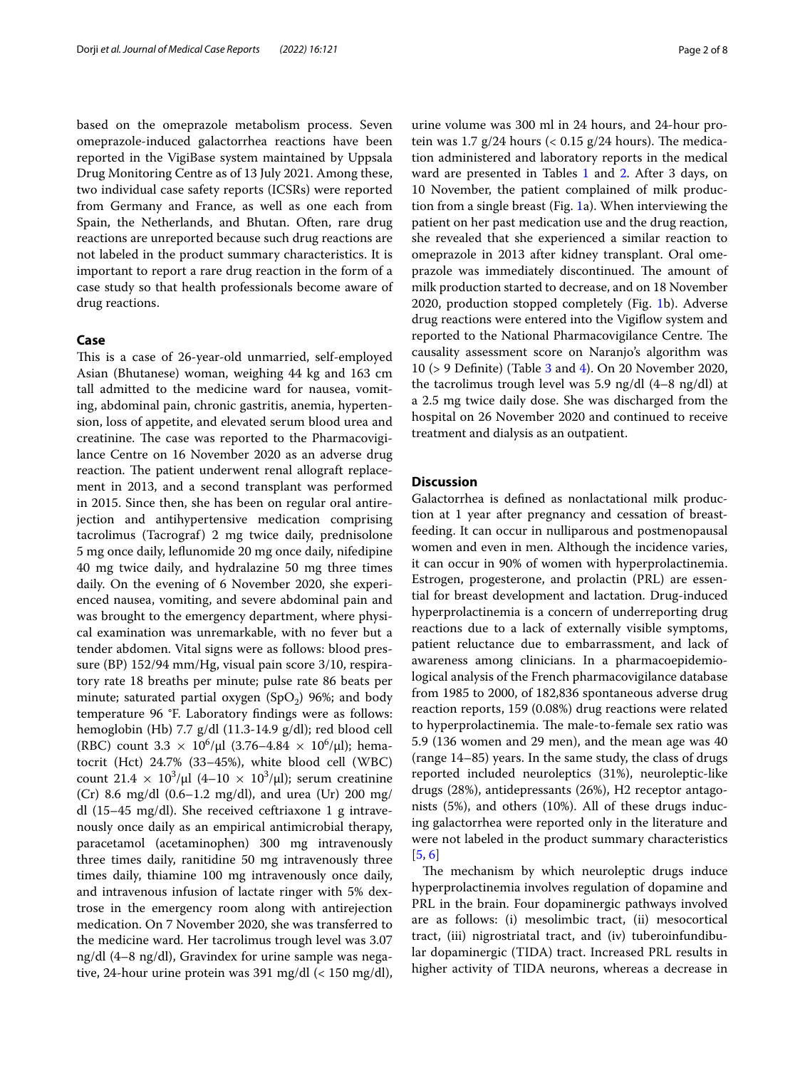based on the omeprazole metabolism process. Seven omeprazole-induced galactorrhea reactions have been reported in the VigiBase system maintained by Uppsala Drug Monitoring Centre as of 13 July 2021. Among these, two individual case safety reports (ICSRs) were reported from Germany and France, as well as one each from Spain, the Netherlands, and Bhutan. Often, rare drug reactions are unreported because such drug reactions are not labeled in the product summary characteristics. It is important to report a rare drug reaction in the form of a case study so that health professionals become aware of drug reactions.

#### **Case**

This is a case of 26-year-old unmarried, self-employed Asian (Bhutanese) woman, weighing 44 kg and 163 cm tall admitted to the medicine ward for nausea, vomiting, abdominal pain, chronic gastritis, anemia, hypertension, loss of appetite, and elevated serum blood urea and creatinine. The case was reported to the Pharmacovigilance Centre on 16 November 2020 as an adverse drug reaction. The patient underwent renal allograft replacement in 2013, and a second transplant was performed in 2015. Since then, she has been on regular oral antirejection and antihypertensive medication comprising tacrolimus (Tacrograf) 2 mg twice daily, prednisolone 5 mg once daily, lefunomide 20 mg once daily, nifedipine 40 mg twice daily, and hydralazine 50 mg three times daily. On the evening of 6 November 2020, she experienced nausea, vomiting, and severe abdominal pain and was brought to the emergency department, where physical examination was unremarkable, with no fever but a tender abdomen. Vital signs were as follows: blood pressure (BP) 152/94 mm/Hg, visual pain score 3/10, respiratory rate 18 breaths per minute; pulse rate 86 beats per minute; saturated partial oxygen (SpO<sub>2</sub>) 96%; and body temperature 96 °F. Laboratory fndings were as follows: hemoglobin (Hb) 7.7 g/dl (11.3-14.9 g/dl); red blood cell (RBC) count  $3.3 \times 10^6/\mu$ l (3.76–4.84  $\times 10^6/\mu$ l); hematocrit (Hct) 24.7% (33–45%), white blood cell (WBC) count  $21.4 \times 10^3/\mu$ l (4–10  $\times 10^3/\mu$ l); serum creatinine (Cr) 8.6 mg/dl (0.6–1.2 mg/dl), and urea (Ur) 200 mg/ dl (15–45 mg/dl). She received ceftriaxone 1 g intravenously once daily as an empirical antimicrobial therapy, paracetamol (acetaminophen) 300 mg intravenously three times daily, ranitidine 50 mg intravenously three times daily, thiamine 100 mg intravenously once daily, and intravenous infusion of lactate ringer with 5% dextrose in the emergency room along with antirejection medication. On 7 November 2020, she was transferred to the medicine ward. Her tacrolimus trough level was 3.07 ng/dl (4–8 ng/dl), Gravindex for urine sample was negative, 24-hour urine protein was 391 mg/dl (< 150 mg/dl),

urine volume was 300 ml in 24 hours, and 24-hour protein was 1.7  $g/24$  hours (< 0.15  $g/24$  hours). The medication administered and laboratory reports in the medical ward are presented in Tables [1](#page-2-0) and [2.](#page-3-0) After 3 days, on 10 November, the patient complained of milk production from a single breast (Fig. [1a](#page-4-0)). When interviewing the patient on her past medication use and the drug reaction, she revealed that she experienced a similar reaction to omeprazole in 2013 after kidney transplant. Oral omeprazole was immediately discontinued. The amount of milk production started to decrease, and on 18 November 2020, production stopped completely (Fig. [1](#page-4-0)b). Adverse drug reactions were entered into the Vigifow system and reported to the National Pharmacovigilance Centre. The causality assessment score on Naranjo's algorithm was 10 (> 9 Defnite) (Table [3](#page-5-0) and [4\)](#page-5-1). On 20 November 2020, the tacrolimus trough level was 5.9 ng/dl (4–8 ng/dl) at a 2.5 mg twice daily dose. She was discharged from the hospital on 26 November 2020 and continued to receive treatment and dialysis as an outpatient.

#### **Discussion**

Galactorrhea is defned as nonlactational milk production at 1 year after pregnancy and cessation of breastfeeding. It can occur in nulliparous and postmenopausal women and even in men. Although the incidence varies, it can occur in 90% of women with hyperprolactinemia. Estrogen, progesterone, and prolactin (PRL) are essential for breast development and lactation. Drug-induced hyperprolactinemia is a concern of underreporting drug reactions due to a lack of externally visible symptoms, patient reluctance due to embarrassment, and lack of awareness among clinicians. In a pharmacoepidemiological analysis of the French pharmacovigilance database from 1985 to 2000, of 182,836 spontaneous adverse drug reaction reports, 159 (0.08%) drug reactions were related to hyperprolactinemia. The male-to-female sex ratio was 5.9 (136 women and 29 men), and the mean age was 40 (range 14–85) years. In the same study, the class of drugs reported included neuroleptics (31%), neuroleptic-like drugs (28%), antidepressants (26%), H2 receptor antagonists (5%), and others (10%). All of these drugs inducing galactorrhea were reported only in the literature and were not labeled in the product summary characteristics [[5,](#page-6-3) [6](#page-6-4)]

The mechanism by which neuroleptic drugs induce hyperprolactinemia involves regulation of dopamine and PRL in the brain. Four dopaminergic pathways involved are as follows: (i) mesolimbic tract, (ii) mesocortical tract, (iii) nigrostriatal tract, and (iv) tuberoinfundibular dopaminergic (TIDA) tract. Increased PRL results in higher activity of TIDA neurons, whereas a decrease in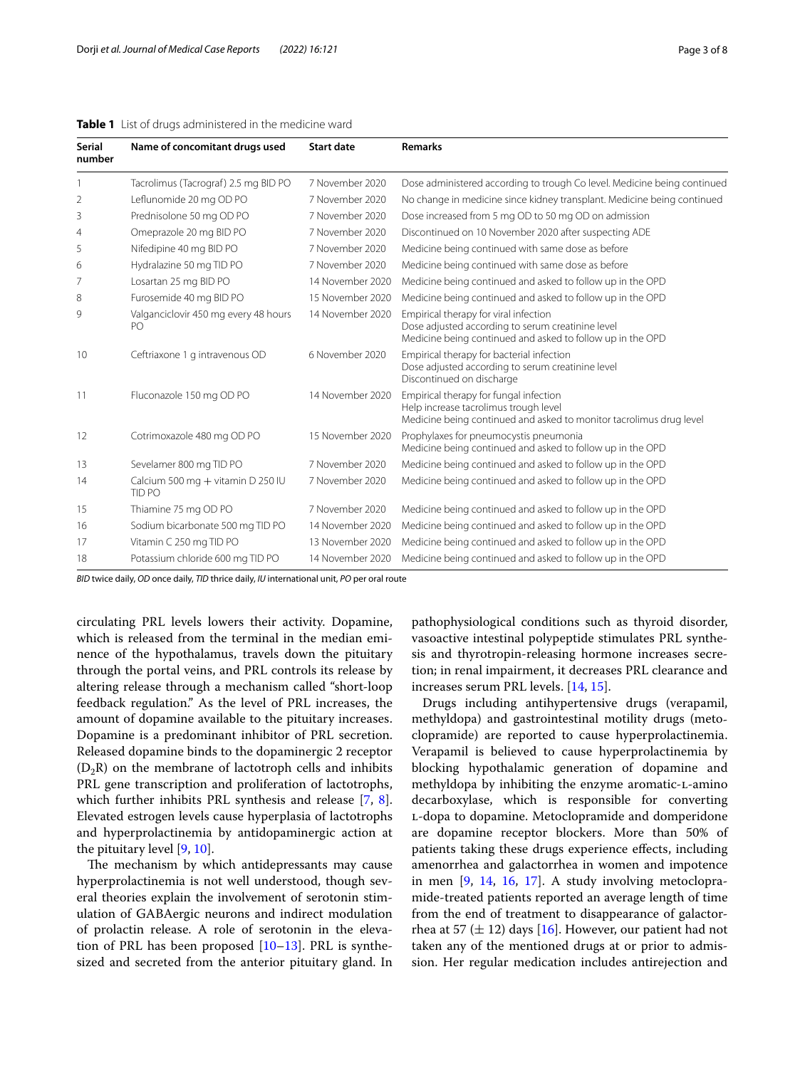| <b>Serial</b><br>number | Name of concomitant drugs used              | <b>Start date</b> | <b>Remarks</b>                                                                                                                                           |
|-------------------------|---------------------------------------------|-------------------|----------------------------------------------------------------------------------------------------------------------------------------------------------|
|                         | Tacrolimus (Tacrograf) 2.5 mg BID PO        | 7 November 2020   | Dose administered according to trough Co level. Medicine being continued                                                                                 |
| $\overline{2}$          | Leflunomide 20 mg OD PO                     | 7 November 2020   | No change in medicine since kidney transplant. Medicine being continued                                                                                  |
| 3                       | Prednisolone 50 mg OD PO                    | 7 November 2020   | Dose increased from 5 mg OD to 50 mg OD on admission                                                                                                     |
| $\overline{4}$          | Omeprazole 20 mg BID PO                     | 7 November 2020   | Discontinued on 10 November 2020 after suspecting ADE                                                                                                    |
| 5                       | Nifedipine 40 mg BID PO                     | 7 November 2020   | Medicine being continued with same dose as before                                                                                                        |
| 6                       | Hydralazine 50 mg TID PO                    | 7 November 2020   | Medicine being continued with same dose as before                                                                                                        |
| 7                       | Losartan 25 mg BID PO                       | 14 November 2020  | Medicine being continued and asked to follow up in the OPD                                                                                               |
| 8                       | Furosemide 40 mg BID PO                     | 15 November 2020  | Medicine being continued and asked to follow up in the OPD                                                                                               |
| 9                       | Valganciclovir 450 mg every 48 hours<br>PO  | 14 November 2020  | Empirical therapy for viral infection<br>Dose adjusted according to serum creatinine level<br>Medicine being continued and asked to follow up in the OPD |
| 10                      | Ceftriaxone 1 g intravenous OD              | 6 November 2020   | Empirical therapy for bacterial infection<br>Dose adjusted according to serum creatinine level<br>Discontinued on discharge                              |
| 11                      | Fluconazole 150 mg OD PO                    | 14 November 2020  | Empirical therapy for fungal infection<br>Help increase tacrolimus trough level<br>Medicine being continued and asked to monitor tacrolimus drug level   |
| 12                      | Cotrimoxazole 480 mg OD PO                  | 15 November 2020  | Prophylaxes for pneumocystis pneumonia<br>Medicine being continued and asked to follow up in the OPD                                                     |
| 13                      | Sevelamer 800 mg TID PO                     | 7 November 2020   | Medicine being continued and asked to follow up in the OPD                                                                                               |
| 14                      | Calcium 500 mg + vitamin D 250 IU<br>TID PO | 7 November 2020   | Medicine being continued and asked to follow up in the OPD                                                                                               |
| 15                      | Thiamine 75 mg OD PO                        | 7 November 2020   | Medicine being continued and asked to follow up in the OPD                                                                                               |
| 16                      | Sodium bicarbonate 500 mg TID PO            | 14 November 2020  | Medicine being continued and asked to follow up in the OPD                                                                                               |
| 17                      | Vitamin C 250 mg TID PO                     | 13 November 2020  | Medicine being continued and asked to follow up in the OPD                                                                                               |
| 18                      | Potassium chloride 600 mg TID PO            | 14 November 2020  | Medicine being continued and asked to follow up in the OPD                                                                                               |

#### <span id="page-2-0"></span>**Table 1** List of drugs administered in the medicine ward

*BID* twice daily, *OD* once daily, *TID* thrice daily, *IU* international unit, *PO* per oral route

circulating PRL levels lowers their activity. Dopamine, which is released from the terminal in the median eminence of the hypothalamus, travels down the pituitary through the portal veins, and PRL controls its release by altering release through a mechanism called "short-loop feedback regulation." As the level of PRL increases, the amount of dopamine available to the pituitary increases. Dopamine is a predominant inhibitor of PRL secretion. Released dopamine binds to the dopaminergic 2 receptor  $(D_2R)$  on the membrane of lactotroph cells and inhibits PRL gene transcription and proliferation of lactotrophs, which further inhibits PRL synthesis and release [\[7](#page-6-5), [8](#page-6-6)]. Elevated estrogen levels cause hyperplasia of lactotrophs and hyperprolactinemia by antidopaminergic action at the pituitary level [[9,](#page-6-7) [10](#page-6-8)].

The mechanism by which antidepressants may cause hyperprolactinemia is not well understood, though several theories explain the involvement of serotonin stimulation of GABAergic neurons and indirect modulation of prolactin release. A role of serotonin in the elevation of PRL has been proposed  $[10-13]$  $[10-13]$  $[10-13]$ . PRL is synthesized and secreted from the anterior pituitary gland. In pathophysiological conditions such as thyroid disorder, vasoactive intestinal polypeptide stimulates PRL synthesis and thyrotropin-releasing hormone increases secretion; in renal impairment, it decreases PRL clearance and increases serum PRL levels. [[14,](#page-6-10) [15\]](#page-6-11).

Drugs including antihypertensive drugs (verapamil, methyldopa) and gastrointestinal motility drugs (metoclopramide) are reported to cause hyperprolactinemia. Verapamil is believed to cause hyperprolactinemia by blocking hypothalamic generation of dopamine and methyldopa by inhibiting the enzyme aromatic-L-amino decarboxylase, which is responsible for converting l-dopa to dopamine. Metoclopramide and domperidone are dopamine receptor blockers. More than 50% of patients taking these drugs experience efects, including amenorrhea and galactorrhea in women and impotence in men [\[9](#page-6-7), [14,](#page-6-10) [16](#page-6-12), [17\]](#page-6-13). A study involving metoclopramide-treated patients reported an average length of time from the end of treatment to disappearance of galactorrhea at 57 ( $\pm$  12) days [\[16](#page-6-12)]. However, our patient had not taken any of the mentioned drugs at or prior to admission. Her regular medication includes antirejection and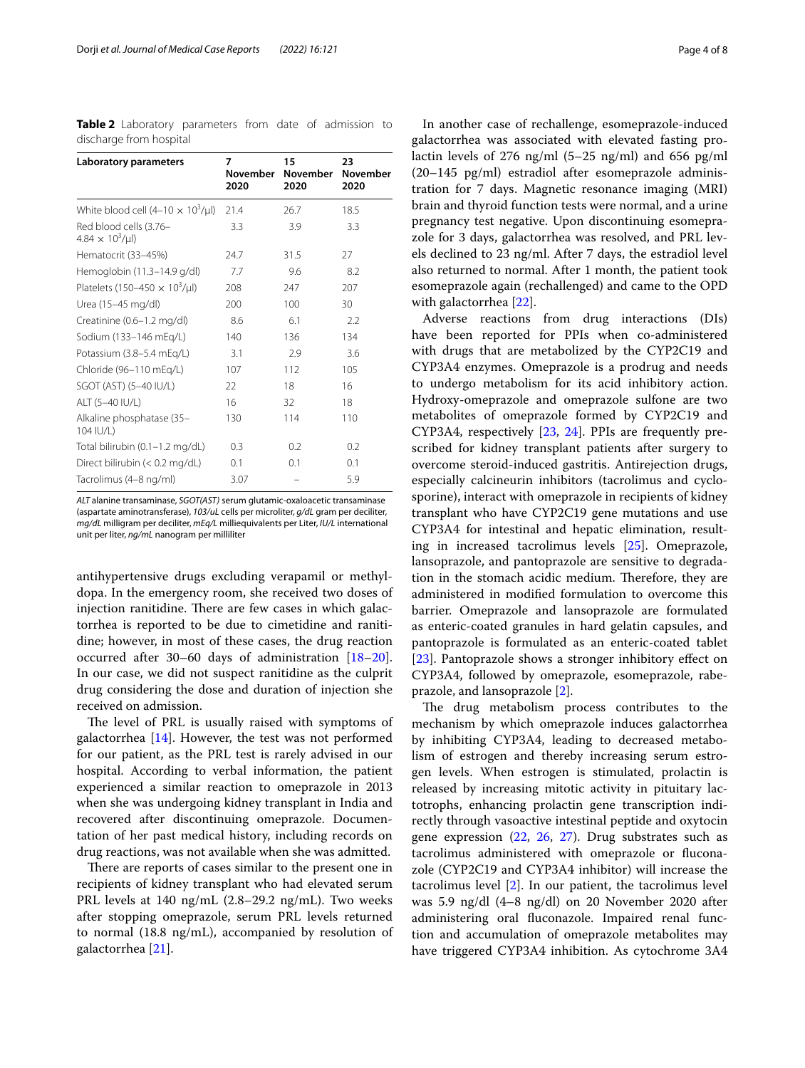<span id="page-3-0"></span>**Table 2** Laboratory parameters from date of admission to discharge from hospital

| Laboratory parameters                            | 7<br>November<br>2020 | 15<br><b>November</b><br>2020 | 23<br><b>November</b><br>2020 |
|--------------------------------------------------|-----------------------|-------------------------------|-------------------------------|
| White blood cell $(4-10 \times 10^3/\mu l)$      | 21.4                  | 26.7                          | 18.5                          |
| Red blood cells (3.76-<br>$4.84 \times 10^3/\mu$ | 3.3                   | 3.9                           | 3.3                           |
| Hematocrit (33-45%)                              | 24.7                  | 31.5                          | 27                            |
| Hemoglobin (11.3-14.9 g/dl)                      | 7.7                   | 9.6                           | 8.2                           |
| Platelets (150-450 $\times$ 10 <sup>3</sup> /µl) | 208                   | 247                           | 207                           |
| Urea (15-45 mg/dl)                               | 200                   | 100                           | 30                            |
| Creatinine (0.6-1.2 mg/dl)                       | 8.6                   | 6.1                           | 2.2                           |
| Sodium (133-146 mEg/L)                           | 140                   | 136                           | 134                           |
| Potassium (3.8-5.4 mEg/L)                        | 3.1                   | 2.9                           | 3.6                           |
| Chloride (96-110 mEg/L)                          | 107                   | 112                           | 105                           |
| SGOT (AST) (5-40 IU/L)                           | 22                    | 18                            | 16                            |
| ALT (5-40 IU/L)                                  | 16                    | 32                            | 18                            |
| Alkaline phosphatase (35-<br>104 IU/L)           | 130                   | 114                           | 110                           |
| Total bilirubin (0.1-1.2 mg/dL)                  | 0.3                   | 0.2                           | 0.2                           |
| Direct bilirubin (< 0.2 mg/dL)                   | 0.1                   | 0.1                           | 0.1                           |
| Tacrolimus (4-8 ng/ml)                           | 3.07                  |                               | 5.9                           |

*ALT* alanine transaminase, *SGOT(AST)* serum glutamic-oxaloacetic transaminase (aspartate aminotransferase), *103/uL* cells per microliter, *g/dL* gram per deciliter, *mg/dL* milligram per deciliter, *mEq/L* milliequivalents per Liter, *IU/L* international unit per liter, *ng/mL* nanogram per milliliter

antihypertensive drugs excluding verapamil or methyldopa. In the emergency room, she received two doses of injection ranitidine. There are few cases in which galactorrhea is reported to be due to cimetidine and ranitidine; however, in most of these cases, the drug reaction occurred after 30–60 days of administration [[18](#page-6-14)[–20](#page-6-15)]. In our case, we did not suspect ranitidine as the culprit drug considering the dose and duration of injection she received on admission.

The level of PRL is usually raised with symptoms of galactorrhea  $[14]$  $[14]$  $[14]$ . However, the test was not performed for our patient, as the PRL test is rarely advised in our hospital. According to verbal information, the patient experienced a similar reaction to omeprazole in 2013 when she was undergoing kidney transplant in India and recovered after discontinuing omeprazole. Documentation of her past medical history, including records on drug reactions, was not available when she was admitted.

There are reports of cases similar to the present one in recipients of kidney transplant who had elevated serum PRL levels at 140 ng/mL (2.8–29.2 ng/mL). Two weeks after stopping omeprazole, serum PRL levels returned to normal (18.8 ng/mL), accompanied by resolution of galactorrhea [\[21](#page-6-16)].

In another case of rechallenge, esomeprazole-induced galactorrhea was associated with elevated fasting prolactin levels of 276  $\frac{mg}{ml}$  (5–25  $\frac{ng}{ml}$ ) and 656  $\frac{pg}{ml}$ (20–145 pg/ml) estradiol after esomeprazole administration for 7 days. Magnetic resonance imaging (MRI) brain and thyroid function tests were normal, and a urine pregnancy test negative. Upon discontinuing esomeprazole for 3 days, galactorrhea was resolved, and PRL levels declined to 23 ng/ml. After 7 days, the estradiol level also returned to normal. After 1 month, the patient took esomeprazole again (rechallenged) and came to the OPD with galactorrhea [[22\]](#page-7-0).

Adverse reactions from drug interactions (DIs) have been reported for PPIs when co-administered with drugs that are metabolized by the CYP2C19 and CYP3A4 enzymes. Omeprazole is a prodrug and needs to undergo metabolism for its acid inhibitory action. Hydroxy-omeprazole and omeprazole sulfone are two metabolites of omeprazole formed by CYP2C19 and CYP3A4, respectively [[23,](#page-7-1) [24\]](#page-7-2). PPIs are frequently prescribed for kidney transplant patients after surgery to overcome steroid-induced gastritis. Antirejection drugs, especially calcineurin inhibitors (tacrolimus and cyclosporine), interact with omeprazole in recipients of kidney transplant who have CYP2C19 gene mutations and use CYP3A4 for intestinal and hepatic elimination, resulting in increased tacrolimus levels [\[25](#page-7-3)]. Omeprazole, lansoprazole, and pantoprazole are sensitive to degradation in the stomach acidic medium. Therefore, they are administered in modifed formulation to overcome this barrier. Omeprazole and lansoprazole are formulated as enteric-coated granules in hard gelatin capsules, and pantoprazole is formulated as an enteric-coated tablet [[23\]](#page-7-1). Pantoprazole shows a stronger inhibitory effect on CYP3A4, followed by omeprazole, esomeprazole, rabeprazole, and lansoprazole [[2\]](#page-6-1).

The drug metabolism process contributes to the mechanism by which omeprazole induces galactorrhea by inhibiting CYP3A4, leading to decreased metabolism of estrogen and thereby increasing serum estrogen levels. When estrogen is stimulated, prolactin is released by increasing mitotic activity in pituitary lactotrophs, enhancing prolactin gene transcription indirectly through vasoactive intestinal peptide and oxytocin gene expression  $(22, 26, 27)$  $(22, 26, 27)$  $(22, 26, 27)$  $(22, 26, 27)$  $(22, 26, 27)$  $(22, 26, 27)$ . Drug substrates such as tacrolimus administered with omeprazole or fuconazole (CYP2C19 and CYP3A4 inhibitor) will increase the tacrolimus level [\[2](#page-6-1)]. In our patient, the tacrolimus level was 5.9 ng/dl (4–8 ng/dl) on 20 November 2020 after administering oral fuconazole. Impaired renal function and accumulation of omeprazole metabolites may have triggered CYP3A4 inhibition. As cytochrome 3A4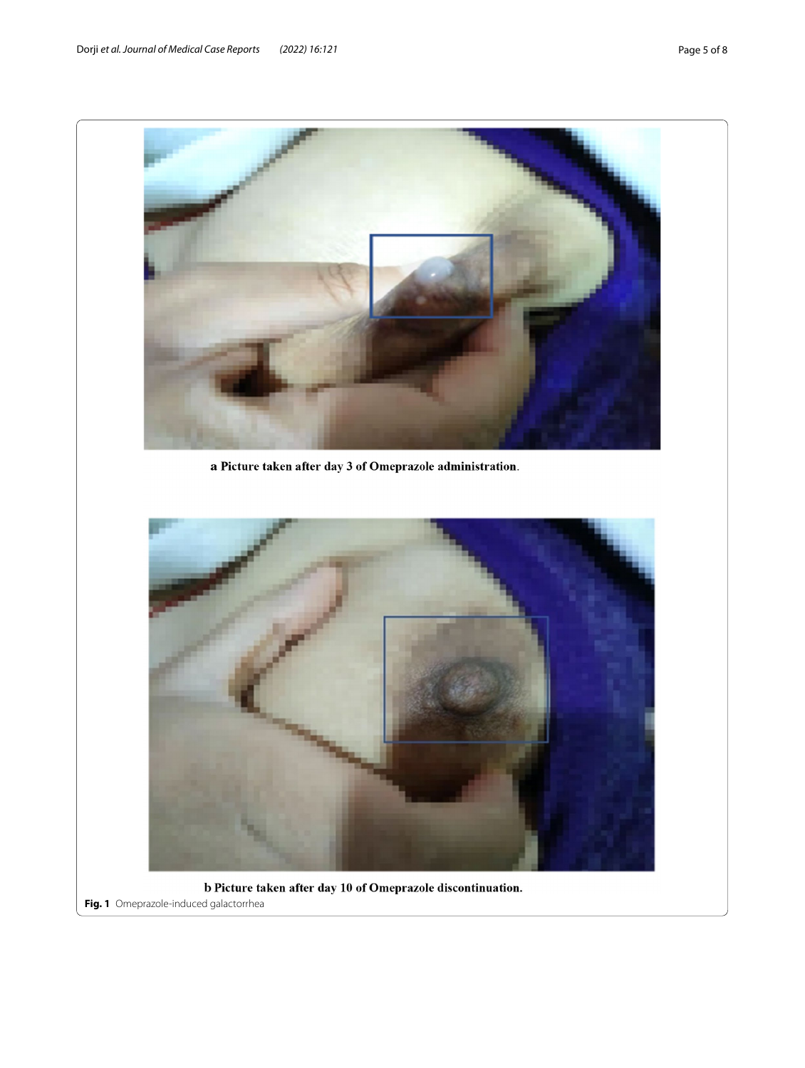<span id="page-4-0"></span>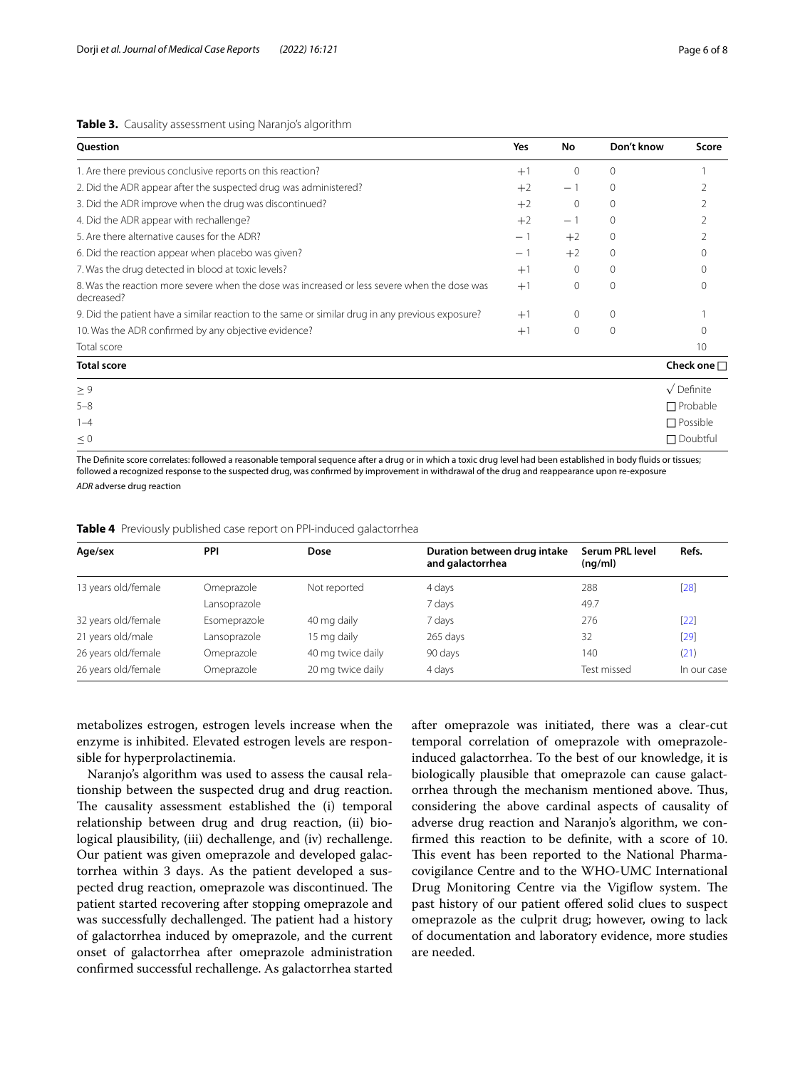#### <span id="page-5-0"></span>**Table 3.** Causality assessment using Naranjo's algorithm

| Question                                                                                                   | Yes  | No       | Don't know  | Score              |
|------------------------------------------------------------------------------------------------------------|------|----------|-------------|--------------------|
| 1. Are there previous conclusive reports on this reaction?                                                 | $+1$ | $\Omega$ | $\Omega$    |                    |
| 2. Did the ADR appear after the suspected drug was administered?                                           | $+2$ | - 1      | $\mathbf 0$ |                    |
| 3. Did the ADR improve when the drug was discontinued?                                                     | $+2$ | 0        | 0           |                    |
| 4. Did the ADR appear with rechallenge?                                                                    | $+2$ | - 1      | $\Omega$    |                    |
| 5. Are there alternative causes for the ADR?                                                               | $-1$ | $+2$     | $\Omega$    |                    |
| 6. Did the reaction appear when placebo was given?                                                         | - 1  | $+2$     | $\mathbf 0$ | 0                  |
| 7. Was the drug detected in blood at toxic levels?                                                         | $+1$ | $\Omega$ | $\Omega$    |                    |
| 8. Was the reaction more severe when the dose was increased or less severe when the dose was<br>decreased? | $+1$ | 0        | $\Omega$    |                    |
| 9. Did the patient have a similar reaction to the same or similar drug in any previous exposure?           | $+1$ | $\Omega$ | $\Omega$    |                    |
| 10. Was the ADR confirmed by any objective evidence?                                                       | $+1$ | 0        | 0           |                    |
| Total score                                                                                                |      |          |             | 10                 |
| <b>Total score</b>                                                                                         |      |          |             | Check one $\Box$   |
| $\geq 9$                                                                                                   |      |          |             | $\sqrt{}$ Definite |
| $5 - 8$                                                                                                    |      |          |             | $\Box$ Probable    |
| $1 - 4$                                                                                                    |      |          |             | $\Box$ Possible    |
| $\leq 0$                                                                                                   |      |          |             | $\Box$ Doubtful    |

The Defnite score correlates: followed a reasonable temporal sequence after a drug or in which a toxic drug level had been established in body fuids or tissues; followed a recognized response to the suspected drug, was confrmed by improvement in withdrawal of the drug and reappearance upon re-exposure *ADR* adverse drug reaction

<span id="page-5-1"></span>

|  |  | Table 4 Previously published case report on PPI-induced galactorrhea |  |
|--|--|----------------------------------------------------------------------|--|
|  |  |                                                                      |  |

| Age/sex             | <b>PPI</b>   | Dose              | Duration between drug intake<br>and galactorrhea | Serum PRL level<br>(nq/ml) | Refs.       |
|---------------------|--------------|-------------------|--------------------------------------------------|----------------------------|-------------|
| 13 years old/female | Omeprazole   | Not reported      | 4 days                                           | 288                        | $[28]$      |
|                     | Lansoprazole |                   | 7 days                                           | 49.7                       |             |
| 32 years old/female | Esomeprazole | 40 mg daily       | 7 days                                           | 276                        | $[22]$      |
| 21 years old/male   | Lansoprazole | 15 mg daily       | 265 days                                         | 32                         | $[29]$      |
| 26 years old/female | Omeprazole   | 40 mg twice daily | 90 days                                          | 140                        | (21)        |
| 26 years old/female | Omeprazole   | 20 mg twice daily | 4 days                                           | Test missed                | In our case |

metabolizes estrogen, estrogen levels increase when the enzyme is inhibited. Elevated estrogen levels are responsible for hyperprolactinemia.

Naranjo's algorithm was used to assess the causal relationship between the suspected drug and drug reaction. The causality assessment established the (i) temporal relationship between drug and drug reaction, (ii) biological plausibility, (iii) dechallenge, and (iv) rechallenge. Our patient was given omeprazole and developed galactorrhea within 3 days. As the patient developed a suspected drug reaction, omeprazole was discontinued. The patient started recovering after stopping omeprazole and was successfully dechallenged. The patient had a history of galactorrhea induced by omeprazole, and the current onset of galactorrhea after omeprazole administration confrmed successful rechallenge. As galactorrhea started

after omeprazole was initiated, there was a clear-cut temporal correlation of omeprazole with omeprazoleinduced galactorrhea. To the best of our knowledge, it is biologically plausible that omeprazole can cause galactorrhea through the mechanism mentioned above. Thus, considering the above cardinal aspects of causality of adverse drug reaction and Naranjo's algorithm, we confrmed this reaction to be defnite, with a score of 10. This event has been reported to the National Pharmacovigilance Centre and to the WHO-UMC International Drug Monitoring Centre via the Vigiflow system. The past history of our patient ofered solid clues to suspect omeprazole as the culprit drug; however, owing to lack of documentation and laboratory evidence, more studies are needed.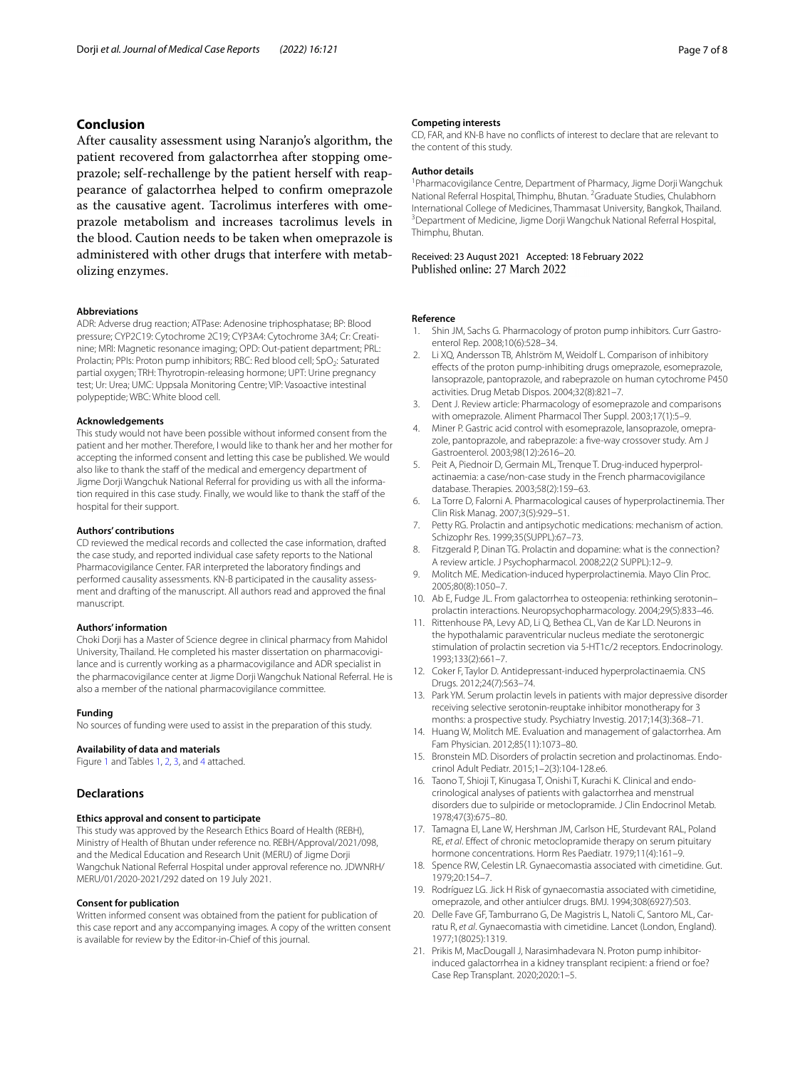### **Conclusion**

After causality assessment using Naranjo's algorithm, the patient recovered from galactorrhea after stopping omeprazole; self-rechallenge by the patient herself with reappearance of galactorrhea helped to confrm omeprazole as the causative agent. Tacrolimus interferes with omeprazole metabolism and increases tacrolimus levels in the blood. Caution needs to be taken when omeprazole is administered with other drugs that interfere with metabolizing enzymes.

#### **Abbreviations**

ADR: Adverse drug reaction; ATPase: Adenosine triphosphatase; BP: Blood pressure; CYP2C19: Cytochrome 2C19; CYP3A4: Cytochrome 3A4; Cr: Creatinine; MRI: Magnetic resonance imaging; OPD: Out-patient department; PRL: Prolactin; PPIs: Proton pump inhibitors; RBC: Red blood cell; SpO<sub>2</sub>: Saturated partial oxygen; TRH: Thyrotropin-releasing hormone; UPT: Urine pregnancy test; Ur: Urea; UMC: Uppsala Monitoring Centre; VIP: Vasoactive intestinal polypeptide; WBC: White blood cell.

#### **Acknowledgements**

This study would not have been possible without informed consent from the patient and her mother. Therefore, I would like to thank her and her mother for accepting the informed consent and letting this case be published. We would also like to thank the staff of the medical and emergency department of Jigme Dorji Wangchuk National Referral for providing us with all the information required in this case study. Finally, we would like to thank the staf of the hospital for their support.

#### **Authors' contributions**

CD reviewed the medical records and collected the case information, drafted the case study, and reported individual case safety reports to the National Pharmacovigilance Center. FAR interpreted the laboratory fndings and performed causality assessments. KN-B participated in the causality assessment and drafting of the manuscript. All authors read and approved the fnal manuscript.

#### **Authors' information**

Choki Dorji has a Master of Science degree in clinical pharmacy from Mahidol University, Thailand. He completed his master dissertation on pharmacovigilance and is currently working as a pharmacovigilance and ADR specialist in the pharmacovigilance center at Jigme Dorji Wangchuk National Referral. He is also a member of the national pharmacovigilance committee.

#### **Funding**

No sources of funding were used to assist in the preparation of this study.

#### **Availability of data and materials**

Figure [1](#page-4-0) and Tables [1](#page-2-0), [2,](#page-3-0) [3](#page-5-0), and [4](#page-3-0) attached.

#### **Declarations**

#### **Ethics approval and consent to participate**

This study was approved by the Research Ethics Board of Health (REBH), Ministry of Health of Bhutan under reference no. REBH/Approval/2021/098, and the Medical Education and Research Unit (MERU) of Jigme Dorji Wangchuk National Referral Hospital under approval reference no. JDWNRH/ MERU/01/2020-2021/292 dated on 19 July 2021.

#### **Consent for publication**

Written informed consent was obtained from the patient for publication of this case report and any accompanying images. A copy of the written consent is available for review by the Editor-in-Chief of this journal.

#### **Competing interests**

CD, FAR, and KN-B have no conficts of interest to declare that are relevant to the content of this study.

#### **Author details**

<sup>1</sup> Pharmacovigilance Centre, Department of Pharmacy, Jigme Dorji Wangchuk National Referral Hospital, Thimphu, Bhutan. <sup>2</sup> Graduate Studies, Chulabhorn International College of Medicines, Thammasat University, Bangkok, Thailand. 3 Department of Medicine, Jigme Dorji Wangchuk National Referral Hospital, Thimphu, Bhutan.

Received: 23 August 2021 Accepted: 18 February 2022<br>Published online: 27 March 2022

#### **Reference**

- <span id="page-6-0"></span>Shin JM, Sachs G. Pharmacology of proton pump inhibitors. Curr Gastroenterol Rep. 2008;10(6):528–34.
- <span id="page-6-1"></span>2. Li XQ, Andersson TB, Ahlström M, Weidolf L. Comparison of inhibitory efects of the proton pump-inhibiting drugs omeprazole, esomeprazole, lansoprazole, pantoprazole, and rabeprazole on human cytochrome P450 activities. Drug Metab Dispos. 2004;32(8):821–7.
- 3. Dent J. Review article: Pharmacology of esomeprazole and comparisons with omeprazole. Aliment Pharmacol Ther Suppl. 2003;17(1):5–9.
- <span id="page-6-2"></span>4. Miner P. Gastric acid control with esomeprazole, lansoprazole, omeprazole, pantoprazole, and rabeprazole: a five-way crossover study. Am J Gastroenterol. 2003;98(12):2616–20.
- <span id="page-6-3"></span>5. Peit A, Piednoir D, Germain ML, Trenque T. Drug-induced hyperprolactinaemia: a case/non-case study in the French pharmacovigilance database. Therapies. 2003;58(2):159–63.
- <span id="page-6-4"></span>6. La Torre D, Falorni A. Pharmacological causes of hyperprolactinemia. Ther Clin Risk Manag. 2007;3(5):929–51.
- <span id="page-6-5"></span>7. Petty RG. Prolactin and antipsychotic medications: mechanism of action. Schizophr Res. 1999;35(SUPPL):67–73.
- <span id="page-6-6"></span>8. Fitzgerald P, Dinan TG. Prolactin and dopamine: what is the connection? A review article. J Psychopharmacol. 2008;22(2 SUPPL):12–9.
- <span id="page-6-7"></span>Molitch ME. Medication-induced hyperprolactinemia. Mayo Clin Proc. 2005;80(8):1050–7.
- <span id="page-6-8"></span>10. Ab E, Fudge JL. From galactorrhea to osteopenia: rethinking serotonin– prolactin interactions. Neuropsychopharmacology. 2004;29(5):833–46.
- 11. Rittenhouse PA, Levy AD, Li Q, Bethea CL, Van de Kar LD. Neurons in the hypothalamic paraventricular nucleus mediate the serotonergic stimulation of prolactin secretion via 5-HT1c/2 receptors. Endocrinology. 1993;133(2):661–7.
- 12. Coker F, Taylor D. Antidepressant-induced hyperprolactinaemia. CNS Drugs. 2012;24(7):563–74.
- <span id="page-6-9"></span>13. Park YM. Serum prolactin levels in patients with major depressive disorder receiving selective serotonin-reuptake inhibitor monotherapy for 3 months: a prospective study. Psychiatry Investig. 2017;14(3):368–71.
- <span id="page-6-10"></span>14. Huang W, Molitch ME. Evaluation and management of galactorrhea. Am Fam Physician. 2012;85(11):1073–80.
- <span id="page-6-11"></span>15. Bronstein MD. Disorders of prolactin secretion and prolactinomas. Endocrinol Adult Pediatr. 2015;1–2(3):104-128.e6.
- <span id="page-6-12"></span>16. Taono T, Shioji T, Kinugasa T, Onishi T, Kurachi K. Clinical and endocrinological analyses of patients with galactorrhea and menstrual disorders due to sulpiride or metoclopramide. J Clin Endocrinol Metab. 1978;47(3):675–80.
- <span id="page-6-13"></span>17. Tamagna EI, Lane W, Hershman JM, Carlson HE, Sturdevant RAL, Poland RE, *et al*. Efect of chronic metoclopramide therapy on serum pituitary hormone concentrations. Horm Res Paediatr. 1979;11(4):161–9.
- <span id="page-6-14"></span>18. Spence RW, Celestin LR. Gynaecomastia associated with cimetidine. Gut. 1979;20:154–7.
- 19. Rodríguez LG. Jick H Risk of gynaecomastia associated with cimetidine, omeprazole, and other antiulcer drugs. BMJ. 1994;308(6927):503.
- <span id="page-6-15"></span>20. Delle Fave GF, Tamburrano G, De Magistris L, Natoli C, Santoro ML, Carratu R, *et al*. Gynaecomastia with cimetidine. Lancet (London, England). 1977;1(8025):1319.
- <span id="page-6-16"></span>21. Prikis M, MacDougall J, Narasimhadevara N. Proton pump inhibitorinduced galactorrhea in a kidney transplant recipient: a friend or foe? Case Rep Transplant. 2020;2020:1–5.